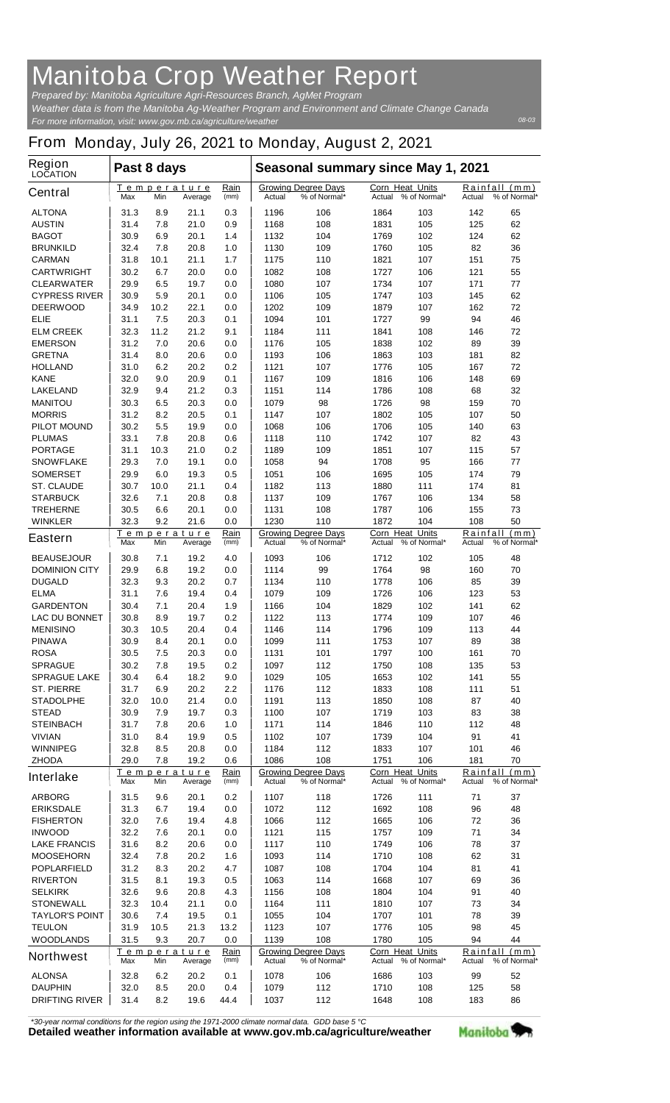## **Manitoba Crop Weather Report**

*For more information, visit: www.gov.mb.ca/agriculture/weather Prepared by: Manitoba Agriculture Agri-Resources Branch, AgMet Program Weather data is from the Manitoba Ag-Weather Program and Environment and Climate Change Canada*

## **From Monday, July 26, 2021 to Monday, August 2, 2021**

| <b>Region</b><br><b>LOCATION</b>         | Past 8 days                                                 |             |                               |                                                      | Seasonal summary since May 1, 2021 |                                            |                                  |                                            |                    |                               |
|------------------------------------------|-------------------------------------------------------------|-------------|-------------------------------|------------------------------------------------------|------------------------------------|--------------------------------------------|----------------------------------|--------------------------------------------|--------------------|-------------------------------|
| <b>Central</b>                           | Max                                                         | Min         | Temperature<br>Average        | Rain<br>(mm)                                         | Actual                             | <b>Growing Degree Days</b><br>% of Normal* | <b>Corn Heat Units</b><br>Actual | % of Normal*                               | Actual             | Rainfall (mm)<br>% of Normal* |
| <b>ALTONA</b>                            | 31.3                                                        | 8.9         | 21.1                          | 0.3                                                  | 1196                               | 106                                        | 1864                             | 103                                        | 142                | 65                            |
| <b>AUSTIN</b>                            | 31.4                                                        | 7.8         | 21.0                          | 0.9                                                  | 1168                               | 108                                        | 1831                             | 105                                        | 125                | 62                            |
| <b>BAGOT</b><br><b>BRUNKILD</b>          | 30.9<br>32.4                                                | 6.9<br>7.8  | 20.1<br>20.8                  | 1.4<br>1.0                                           | 1132<br>1130                       | 104<br>109                                 | 1769<br>1760                     | 102<br>105                                 | 124<br>82          | 62<br>36                      |
| <b>CARMAN</b>                            | 31.8                                                        | 10.1        | 21.1                          | 1.7                                                  | 1175                               | 110                                        | 1821                             | 107                                        | 151                | 75                            |
| <b>CARTWRIGHT</b>                        | 30.2                                                        | 6.7         | 20.0                          | 0.0                                                  | 1082                               | 108                                        | 1727                             | 106                                        | 121                | 55                            |
| <b>CLEARWATER</b>                        | 29.9                                                        | 6.5         | 19.7                          | 0.0                                                  | 1080                               | 107                                        | 1734                             | 107                                        | 171                | 77                            |
| <b>CYPRESS RIVER</b>                     | 30.9                                                        | 5.9         | 20.1                          | 0.0                                                  | 1106                               | 105                                        | 1747                             | 103                                        | 145                | 62                            |
| <b>DEERWOOD</b>                          | 34.9                                                        | 10.2        | 22.1                          | 0.0                                                  | 1202                               | 109                                        | 1879                             | 107                                        | 162                | 72                            |
| <b>ELIE</b>                              | 31.1                                                        | 7.5         | 20.3                          | 0.1                                                  | 1094                               | 101                                        | 1727                             | 99                                         | 94                 | 46                            |
| <b>ELM CREEK</b>                         | 32.3<br>31.2                                                | 11.2        | 21.2<br>20.6                  | 9.1                                                  | 1184                               | 111<br>105                                 | 1841                             | 108                                        | 146<br>89          | 72<br>39                      |
| <b>EMERSON</b><br><b>GRETNA</b>          | 31.4                                                        | 7.0<br>8.0  | 20.6                          | 0.0<br>0.0                                           | 1176<br>1193                       | 106                                        | 1838<br>1863                     | 102<br>103                                 | 181                | 82                            |
| <b>HOLLAND</b>                           | 31.0                                                        | 6.2         | 20.2                          | 0.2                                                  | 1121                               | 107                                        | 1776                             | 105                                        | 167                | 72                            |
| <b>KANE</b>                              | 32.0                                                        | 9.0         | 20.9                          | 0.1                                                  | 1167                               | 109                                        | 1816                             | 106                                        | 148                | 69                            |
| <b>LAKELAND</b>                          | 32.9                                                        | 9.4         | 21.2                          | 0.3                                                  | 1151                               | 114                                        | 1786                             | 108                                        | 68                 | 32                            |
| <b>MANITOU</b>                           | 30.3                                                        | 6.5         | 20.3                          | 0.0                                                  | 1079                               | 98                                         | 1726                             | 98                                         | 159                | 70                            |
| <b>MORRIS</b>                            | 31.2                                                        | 8.2         | 20.5                          | 0.1                                                  | 1147                               | 107                                        | 1802                             | 105                                        | 107                | 50                            |
| <b>PILOT MOUND</b>                       | 30.2                                                        | 5.5         | 19.9                          | 0.0                                                  | 1068                               | 106                                        | 1706                             | 105                                        | 140                | 63                            |
| <b>PLUMAS</b>                            | 33.1                                                        | 7.8         | 20.8                          | 0.6                                                  | 1118                               | 110                                        | 1742                             | 107                                        | 82                 | 43                            |
| <b>PORTAGE</b><br><b>SNOWFLAKE</b>       | 31.1<br>29.3                                                | 10.3<br>7.0 | 21.0<br>19.1                  | 0.2<br>0.0                                           | 1189<br>1058                       | 109<br>94                                  | 1851<br>1708                     | 107<br>95                                  | 115<br>166         | 57<br>77                      |
| <b>SOMERSET</b>                          | 29.9                                                        | 6.0         | 19.3                          | 0.5                                                  | 1051                               | 106                                        | 1695                             | 105                                        | 174                | 79                            |
| <b>ST. CLAUDE</b>                        | 30.7                                                        | 10.0        | 21.1                          | 0.4                                                  | 1182                               | 113                                        | 1880                             | 111                                        | 174                | 81                            |
| <b>STARBUCK</b>                          | 32.6                                                        | 7.1         | 20.8                          | 0.8                                                  | 1137                               | 109                                        | 1767                             | 106                                        | 134                | 58                            |
| <b>TREHERNE</b>                          | 30.5                                                        | 6.6         | 20.1                          | 0.0                                                  | 1131                               | 108                                        | 1787                             | 106                                        | 155                | 73                            |
| <b>WINKLER</b>                           | 32.3                                                        | 9.2         | 21.6                          | 0.0                                                  | 1230                               | 110                                        | 1872                             | 104                                        | 108                | 50                            |
| <b>Eastern</b>                           | Rain<br><u>Temperature</u><br>Min<br>(mm)<br>Max<br>Average |             |                               | <b>Growing Degree Days</b><br>% of Normal*<br>Actual |                                    | Corn Heat Units<br>Actual                  | % of Normal*                     | Rainfall<br>(mm)<br>% of Normal*<br>Actual |                    |                               |
| <b>BEAUSEJOUR</b>                        | 30.8                                                        | 7.1         | 19.2                          | 4.0                                                  | 1093                               | 106                                        | 1712                             | 102                                        | 105                | 48                            |
| <b>DOMINION CITY</b>                     | 29.9                                                        | 6.8         | 19.2                          | 0.0                                                  | 1114                               | 99                                         | 1764                             | 98                                         | 160                | 70                            |
| <b>DUGALD</b>                            | 32.3                                                        | 9.3         | 20.2                          | 0.7                                                  | 1134                               | 110                                        | 1778                             | 106                                        | 85                 | 39                            |
| <b>ELMA</b>                              | 31.1                                                        | 7.6         | 19.4                          | 0.4                                                  | 1079                               | 109                                        | 1726                             | 106                                        | 123                | 53                            |
| <b>GARDENTON</b><br><b>LAC DU BONNET</b> | 30.4<br>30.8                                                | 7.1<br>8.9  | 20.4<br>19.7                  | 1.9<br>0.2                                           | 1166<br>1122                       | 104<br>113                                 | 1829<br>1774                     | 102<br>109                                 | 141<br>107         | 62<br>46                      |
| <b>MENISINO</b>                          | 30.3                                                        | 10.5        | 20.4                          | 0.4                                                  | 1146                               | 114                                        | 1796                             | 109                                        | 113                | 44                            |
| <b>PINAWA</b>                            | 30.9                                                        | 8.4         | 20.1                          | 0.0                                                  | 1099                               | 111                                        | 1753                             | 107                                        | 89                 | 38                            |
| <b>ROSA</b>                              | 30.5                                                        | 7.5         | 20.3                          | 0.0                                                  | 1131                               | 101                                        | 1797                             | 100                                        | 161                | 70                            |
| <b>SPRAGUE</b>                           | 30.2                                                        | 7.8         | 19.5                          | 0.2                                                  | 1097                               | 112                                        | 1750                             | 108                                        | 135                | 53                            |
| <b>SPRAGUE LAKE</b>                      | 30.4                                                        | 6.4         | 18.2                          | 9.0                                                  | 1029                               | 105                                        | 1653                             | 102                                        | 141                | 55                            |
| <b>ST. PIERRE</b>                        | 31.7                                                        | 6.9         | 20.2                          | 2.2                                                  | 1176                               | 112                                        | 1833                             | 108                                        | 111                | 51                            |
| <b>STADOLPHE</b><br><b>STEAD</b>         | 32.0<br>30.9                                                | 10.0<br>7.9 | 21.4<br>19.7                  | 0.0<br>0.3                                           | 1191<br>1100                       | 113<br>107                                 | 1850<br>1719                     | 108<br>103                                 | 87<br>83           | 40<br>38                      |
| <b>STEINBACH</b>                         | 31.7                                                        | 7.8         | 20.6                          | 1.0                                                  | 1171                               | 114                                        | 1846                             | 110                                        | 112                | 48                            |
| <b>VIVIAN</b>                            | 31.0                                                        | 8.4         | 19.9                          | 0.5                                                  | 1102                               | 107                                        | 1739                             | 104                                        | 91                 | 41                            |
| <b>WINNIPEG</b>                          | 32.8                                                        | 8.5         | 20.8                          | 0.0                                                  | 1184                               | 112                                        | 1833                             | 107                                        | 101                | 46                            |
| <b>ZHODA</b>                             | 29.0                                                        | 7.8         | 19.2                          | 0.6                                                  | 1086                               | 108                                        | 1751                             | 106                                        | 181                | 70                            |
| <b>Interlake</b>                         | Max                                                         | Min         | Temperature<br>Average        | Rain<br>(mm)                                         | <b>Actual</b>                      | <b>Growing Degree Days</b><br>% of Normal* | Corn Heat Units                  | Actual % of Normal*                        | Actual             | Rainfall (mm)<br>% of Normal* |
| <b>ARBORG</b>                            | 31.5                                                        | 9.6         | 20.1                          | 0.2                                                  | 1107                               | 118                                        | 1726                             | 111                                        | 71                 | 37                            |
| <b>ERIKSDALE</b>                         | 31.3                                                        | 6.7         | 19.4                          | 0.0                                                  | 1072                               | 112                                        | 1692                             | 108                                        | 96                 | 48                            |
| <b>FISHERTON</b>                         | 32.0                                                        | 7.6         | 19.4                          | 4.8                                                  | 1066                               | 112                                        | 1665                             | 106                                        | 72                 | 36                            |
| <b>INWOOD</b>                            | 32.2                                                        | 7.6         | 20.1                          | 0.0                                                  | 1121                               | 115                                        | 1757                             | 109                                        | 71                 | 34                            |
| <b>LAKE FRANCIS</b><br><b>MOOSEHORN</b>  | 31.6                                                        | 8.2         | 20.6                          | 0.0                                                  | 1117                               | 110<br>114                                 | 1749                             | 106                                        | 78                 | 37<br>31                      |
| <b>POPLARFIELD</b>                       | 32.4<br>31.2                                                | 7.8<br>8.3  | 20.2<br>20.2                  | 1.6<br>4.7                                           | 1093<br>1087                       | 108                                        | 1710<br>1704                     | 108<br>104                                 | 62<br>81           | 41                            |
| <b>RIVERTON</b>                          | 31.5                                                        | 8.1         | 19.3                          | 0.5                                                  | 1063                               | 114                                        | 1668                             | 107                                        | 69                 | 36                            |
| <b>SELKIRK</b>                           | 32.6                                                        | 9.6         | 20.8                          | 4.3                                                  | 1156                               | 108                                        | 1804                             | 104                                        | 91                 | 40                            |
| <b>STONEWALL</b>                         | 32.3                                                        | 10.4        | 21.1                          | 0.0                                                  | 1164                               | 111                                        | 1810                             | 107                                        | 73                 | 34                            |
| <b>TAYLOR'S POINT</b>                    | 30.6                                                        | 7.4         | 19.5                          | 0.1                                                  | 1055                               | 104                                        | 1707                             | 101                                        | 78                 | 39                            |
| <b>TEULON</b>                            | 31.9                                                        | 10.5        | 21.3                          | 13.2                                                 | 1123                               | 107                                        | 1776                             | 105                                        | 98                 | 45                            |
| <b>WOODLANDS</b>                         | 31.5                                                        | 9.3         | 20.7                          | 0.0                                                  | 1139                               | 108                                        | 1780                             | 105                                        | 94                 | 44                            |
| <b>Northwest</b>                         | Max                                                         | Min         | <b>Temperature</b><br>Average | Rain<br>(mm)                                         | Actual                             | <b>Growing Degree Days</b><br>% of Normal* | Corn Heat Units<br>Actual        | % of Normal*                               | Rainfall<br>Actual | (mm)<br>% of Normal*          |
| <b>ALONSA</b>                            | 32.8                                                        | 6.2         | 20.2                          | 0.1                                                  | 1078                               | 106                                        | 1686                             | 103                                        | 99                 | 52                            |
| <b>DAUPHIN</b>                           | 32.0                                                        | 8.5         | 20.0                          | 0.4                                                  | 1079                               | 112                                        | 1710                             | 108                                        | 125                | 58                            |
| <b>DRIFTING RIVER</b>                    | 31.4                                                        | 8.2         | 19.6                          | 44.4                                                 | 1037                               | 112                                        | 1648                             | 108                                        | 183                | 86                            |

*\*30-year normal conditions for the region using the 1971-2000 climate normal data. GDD base 5 °C*<br>Detailed weather information available at www.gov.mb.ca/agriculture/weather